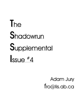# **T**he **S**hadowrun **S**upplemental **I**ssue #4

Adam Jury fro@lis.ab.ca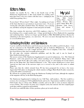# Editors Notes

Another two months fly by. This is the fourth issue of The Shadowrun Supplemental, so, like usual, thanks for reading, and I hope that I have a few new readers with this issue :) (Judging by the email I keep getting, I do..)

No new fonts? NO new fonts?! That s right. I m making use of some of the fonts that haven't got much use in previous issues. If you are viewing this with plain standard Times New Roman, you're missing out, and likely causing the magazine to look and print out badly.

### Hey you!

This list is getting rather long.. Bull, Gurth, Sascha Pabst , Sunette, Tinner, Dvixen, Skye, Apryl, Adam, Rick, Wes, Roxanne, Lady Jestyr, Dawn and anyone I forgot.

This issue contains the interviews with FASA employee's that I ve

been hinting at for a couple months now. A huge special thanks to Steve Ratkovich for organizing and conducting them. And an ever larger special thanks to Mike Mulvhihill and Steve Kenson for submitting to the interrogations.. err, interviews. We were even more thorough than Lone Star, so we covered all the bases.

### Contacting the Editor and Submissions

I can be reached at fro@lis.ab.ca and fro@sara.cas.nwu.edu, first address preferred, please. I can also be contacted on the ShadowRN mailing list, and on Undernet #Shadowrun. If you want submission guidelines or to ask a simple question, hell, even to complain, I don't bite. Actually, I have been known to bite, but I m usually pretty gentle.

My web page also contains submission guidelines and the like, and it can be found at http://shadowrun.home.ml.org

The newest section of The Shadowrun Supplemental is in need of submissions. It is 'The Cluttered Datastore, and is the general area where almost anything can be submitted. Thing's that a full article don't quite fit for, like a few spells, a new piece of gear, or a description of several contacts, these are the things that 'The Cluttered Datastore' is for. This section should prove to have more \*general use than some of the narrower topics we've covered so far, and is also easier to submit things for.

Please note that the vehicle oriented Issue #5 has been postponed for at least a few issues. Apparently FASA plans on changing the vehicle statistics in Rigger Black Book II rather extensively, so Issue #5 will be a normal issue.

We will also be accepting articles about the Shadowrun Trading Card Game, although the emphasis of the magazine will stay on the Role-Playing game.

The Shadowrun Supplemental is looking for two Full Time staff members. The first would be a reviewer, for reviewing new FASA published books and novels. Expectations would be to obtain new FASA books close to release time (Within a month), and to be able to write an honest subjective review of them. The second is an artist, not a computer artist, but someone who does original paper work that could be scanned in and included.

If you feel you could fill either of these positions, please get in touch with me.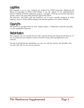### **Legalities**

This magazine is in no way endorsed nor produced by FASA Corporation. Shadowrun and Matrix, are copyrights of FASA (1997) Neither I, nor the authors of any individual pieces intend to infringe on FASA's intellectual property and rights. FASA has not read this material in advance, and as such, none of this material is approved by FASA.

The interviews with FASA staff and freelancers are of course partially produced by FASA employees, however, FASA still has nothing to do with this magazine or its articles, officially.

### Copyrights

All contents are copyright (1997) by their original authors. I (Adam Jury) retain the copyrights over the compilation of material.

### Redistribution

This magazine may be reproduced in any other computer format only with permission from me. It may be archived on any computer system or network, as long as this copyright notice is not removed.

You may not profit from the distribution, nor may you edit the contents and distribute that, you may only edit for your own personal use.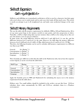# Skillsoft Expansion Gurth <gurth@xs4all.nl>

Skillwires and skillchips are tremendously useful pieces of kit to own for a character, but their game rules aren't always easy to understand, and in some cases don't make all that much sense. This article is mostly an attempt to get it all straightened out, and make some aesthetical changes at the same time.

### Skillsoft Memory Requirements

The way the table with the memory requirements for skillsofts (SRII p. 248 and Shadowtech p. 48) is set up causes great leaps in the memory needed at some points, and slow progression at others. Naturally, a skill at a high rating takes up more memory than a skill at a low rating, but as they are now, the memory costs are just too arbitrary.

In game terms, the actual difference between skill level 2 and skill level 3 is one die, and the difference between level 3 and level 4 is the same. However, for skill chips the memory difference between a level 2 skill and a level 3 skill is 10 Mp, while between level 3 and level 4 it's 170 Mp!

Therefore, the following formulas can be used to calculate skill memory requirements in a different way than as per SRII.

General:  $10 \times \text{Rating} \,\hat{\,}\, 2$ Concentration: 6 x Rating  $\hat{2}$ Specialization:  $4 \times$  Rating  $\hat{ }$  2 Language:  $3 \times$  Rating  $^2$  2

These formulas give different results than the table in the Shadowrun rules, but at least the sequence is more logical, as can be seen from the table below.

| <b>Skill Type</b> |    | Rating |    |                |          |     |     |     |     |      |
|-------------------|----|--------|----|----------------|----------|-----|-----|-----|-----|------|
|                   |    | 2      | ., | $\overline{4}$ | .,       | o   |     | -8  |     | 10   |
| General           | 10 | 40     | 90 | l 60           | 250      | 360 | 490 | 640 | 810 | 1000 |
| Concentration     | 6  | 24     | 54 | 96             | $_{150}$ | 216 | 294 | 384 | 486 | 600  |
| Specialization    | 4  | 16     | 36 | 64             | 100      | 144 | 196 | 256 | 324 | 400  |
| Language          | 3  | 12     | 27 | 48             | 75       | 108 | 147 | 192 | 243 | 300  |

Apply the formulas given in SRII and Shadowtech for calculating the nuyen cost to the memory requirement from the table above.

[Editors note: Two small utilities should be included in the archive you got this from. SS-D.exe calculates these values automatically for DOS, and SS-W.exe calculates them in a Windows environment.]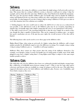### **Skillwires**

As SRII indicates, the rating of a skillwires system limits the total ratings of all activesofts used at a time. This means that in a rating 6 skillwires system, a character could put six rating 1 chips for example, and use them all at the same time. Skillwires plus, from Shadowtech, double this maximum. This does pose the question whether skillwires plus can handle chips rated at double the skillwires rating, and Shadowtech also says that using a skill at any other rating than at which it was encoded is not possible. So what happens if you slot a rating 6 chip in rating 3 skillwires? FASA gives no rules to cover this situation, but a few solutions are available.

1. Nothing happens: the wires would want to reduce the skill level to 3, but use at a reduced level isn't possible, so the skill doesn't work at all. Skillwires plus may be an exception, depending on whether they can handle chips with a higher rating than the wires or not (gamemaster's discretion). 2. The skill is used at level 3; the reasoning behind this is that the wires simply do as much as they can, though the chip is capable of doing better. This can be compared to aiming a gun -- no matter how good a marksman you are, if the gun has poor sights the overall accuracy of the shot will be limited.

The following house rules can be used to cover these gaps in the skillwires rules.

Higher-Rated Chips: when using an activesoft of a higher rating than the skillwires, add a target number penalty for all skillsofts equal to twice the difference in ratings. For example, using a rating 5 chip in rating 3 skillwires gives a 4 modifier to all target numbers.

Skillwires Plus: these cannot use chips greater than the rating of the skillwires themselves. For example, even though a rating 4 system can handle up to 8 rating points of skills, none of the skills plugged in may have a higher rating than 4. Using higher-rated chips is subject to the same target number penalty as above.

### Skillwires Costs

Like skill chips, the costs for skillwires have been very arbitrarily decided and display strange leaps, like a difference of 6,400,000 nuyen between ratings 6 and 7. (This is true for some other pieces cyberware and bioware that are available in a range of ratings as well, by the way.) The table shows suggested alternative prices for both skillwires and skillwires plus. Essence cost, Availability, and Street Index remain as they were.

| Rating         | <b>Skillwires</b> | <b>Skillwires Plus</b> |
|----------------|-------------------|------------------------|
| 1              | 10,000            | 15,000                 |
| $\overline{2}$ | 30,000            | 40,000                 |
| 3              | 100,000           | 140,000                |
| $\overline{4}$ | 325,000           | 400,000                |
| 5              | 800,000           | 975,000                |
| 6              | 1,750,000         | 2,000,000              |
| 7              | 3,500,000         | 3,750,000              |
| 8              | 6,000,000         | 6,250,000              |
| 9              | 9,000,000         | 9,500,000              |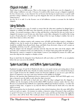### Chipjack Included. . .?

That's what it says in SRII anyway. This is a bit strange, since the Essence cost of a chipjack is ..2, while rating 1 skillwires cost only .1 Essence. It would in effect mean you get a chipjack completely for free, Essence-wise, so any character low on Essence but having too much nuyen to spend could purchase rating 1 skillwires in order to get the chipjack (the wires are all but useless at such a low rating anyway).

An easy fix is to add .2 to the Essence cost of all skillwires systems to account for the built-in chipjack.

### Using Skillsofts

This is a somewhat gray area. It stands to reason that the chip must somehow be plugged into a chipjack or softlink, but SRII states that datasofts can also be accessed through datajacks. This is strange -- by normal reasoning, a chip is a chip, and therefore a chip that fits into one socket type (a chipjack for instance) won't fit into any other kind o socket (like a datajack). It would be like trying to put a 25-pin plug into a 9-pin socket: the design of the two type of plugs is similar, but one is about three times as wide as the other.

Thankfully, the solution requires only common sense: all skill- and datachips require a chipjack or softlink to use, but by means of an adapter they can be slotted into a datajack. Such an adapter should be available from all good body shops, and likely from electronics shops as well; assume an Availability of 2/6 hrs, Cost 50, and Street Index .75.

Plug the adapter into the datajack, and then stick the chip into the other end of the adapter. It'll protrude a few centimeters from your skull, but hey, it's cheaper than going under the knife again.

Alternatively, connect a computer or data display system to your datajack by means of a cable, and insert the chip into the computer or display system.

Keep in mind that the datajacks from Shadowtech still need either an I/O SPU or an encephalon before the user can access the skillsoft.

### System Load Delay and Softlink System Load Delay

Explained on pages 44 and 46 of Shadowtech, this is a very good concept, preventing players from accessing all skillsoft all the time. Outside of combat situations this is not very critical, but having to wait a couple of turns for the softlink to load your Firearms skillsoft so you can use a gun with any degree of competence can cause some tense moments in the middle of a firefight.

However, the question that Shadowtech leaves unanswered is whether SLD and SSLD apply every time a character uses the skill, or only when the chip is inserted.

Reason suggests the skill needs to load only once, when the chip is plugged into the chipjack or softlink, but the description of first-in-first-filed (FIFF) headware memory makes this less clear. Because it recommends that skillsoft users upload the skillsoft into headware memory, to reduce the amount of delay time, it appears to say that the SLD (or SSLD) must be dealt with every time the skill is accessed.

This interpretations has its drawbacks, mainly in time-critical situations where the same skill will be used over and over again -- for instance in combat, a character using a Firearms(5) chip would have to spend 2 1/2 turns every time he or she wants to fire a gun, and then get that delay time again the next time a shot will be fired. This would put about 3 turns between shots, because the skillwires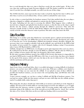have to read through the chip every time to find how exactly the gun worked again... If this is the case, then why would anyone make Firearms skillsofts at all? The market would die out really fast, since if you don't lose a firefight normally, you will if you slot one of these chips.

The (S)SLD, therefore, must represent the time it takes to load the chip the first time it will be used; after that, it can be accessed without delay. At least, until it is unloaded for some reason.

So why is there a system load delay for headware memory? Isn't that satisfied when the user plugs a chip into a chipjack or softlink, and uploads its contents into the headware memory?

Not quite. Uploading isn't the same as accessing the skillsoft. What happens when a skillsoft is inserted into a chipjack and uploaded into headware memory, is that the data on the chip is copied directly into the memory, without passing through the skillwire's processors. Only when the character actually decides to USE the skill will the skillwires sift through the data to find out how exactly to do the action the character wants to perform. This takes some time, hence the SLD.

### Data Flow Rate

This brings us to another point that Shadowrun conveniently ignores: upload and download time. Datajacks have a data flow rate (DFR) that governs how fast data can flow through the jack, either to or from the user. So for downloading a skillsoft into headware memory through a datajack, the necessary time is easy enough to calculate: look up the skillsoft's size, and divide by the DFR to find the number of turns needed. For example, with a level 2 datajack, loading a rating 5 Concentration takes 2 turns (100 Mp divided by a DFR of 50).

Softlinks, though, have no DFR listed, even though it can be quite important when you're in a hurry. By reading between the lines, though, it seems the DFR of a softlink is 100: the rules for SSLD says it takes a number of turns equal to the chip's size divided by 100 to load a skillsoft.

By this same reasoning, headware memory has a DFR of 250. In turn, that means it is impossible for any kind of DFR booster to push the DFR above 250. Sure, it can be done, but then you're limited by the speed of the memory, which can't store the data at the rate it's delivered to it. The situation with the marksman and the gun again.

### Headware Memory

Apart from a lower system load delay, there is an added advantage to storing skillsofts in headware memory: you can have more skills available at any given time. With just a softlink, you're limited to the number of chips you can cram into the softlink; if you upload as many of those skillsofts as possible into headware memory, you can remove the corresponding chips, and fill their slots with other skills.

A more concrete example: say you have a rating 2 softlink and 500 Mp of headware memory. You can load two rating 5 skills into that memory and put two more skill chips into the softlink, giving a total of 4 available skills, rather than just 2.

When doing this, the player should state which skills are in memory and which are in the chipjack or softlink. Also keep track of which skills are currently being accessed by the skillwires, so as to apply (S)SLD when the character switches to another skill. If accessing another skill would exceed the maximum rating of the skillwires, one of the currently-accessed skills must be closed first assume this takes a Free Action. Only then can the next skill start loading, with its associated delay.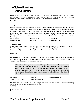### The Cluttered Datastore Various Authors

» Here you go folks, a general clearing house for some of the data deemed too small to fit in as an article in itself. Feel free to read through and comment, and if you see something that will fit in the datastore, let me know. Of course, no copyrighted corporation items allowed! » NuDawn

#### Cold Ball

An area-effect spell that causes Physical Damage. The cold ball spell can freeze material in it's blast area. It can freeze more than plant tissue, animal, or metahuman flesh. Freezing has diferent effects on man-made technology. Make a roll on the object resistance table, force of the spell against a target number of the objects resistance. One success indicates the item in question is covered with a thin layer of ice, two or more successes mean the item is completely frozen through. (Gamemasters discretion, of course.

| <b>Type: Physical</b> | Damage: $(F)D$           | Range: LOS               |
|-----------------------|--------------------------|--------------------------|
| Target: $Body(R)$     | Drain: $[(F \div 2)$ 2]S | <b>Duration: Instant</b> |

#### Freezing Grasp

A spell in which the magician grasps the target with his hands to cause physical damage with cold. Type: Physical Damage: (F)L Range: Touch Target: Body  $(R)$  Drain:  $[(F \div 2) 1]L$  Duration: Instant

#### Fairie Fire

A mana spell which surrounds the target with purple fire. The effect reduces his target number by the Force of the spell for every two successes during a special spell success test vs. The spell resistance test. This makes the target easier to hit.

Adolf, a hermetic mage, casts this spell at Wedge. Wedge is surrounded by violet fire. Adolf makes his spell casting test with a number of dice equal to the spell's force: 6. Adolf's numbers are 1, 4, 5, 6, 6, 6. Wedge makes a willpower test against the Spell's force. His willpower is four. He gains 6, 6, 5, and 4. If Wedge would have made one success against the spell, his target number would be reduced by one. But the spell effect fails.

| Type: Mana               | Range: LOS                   | <b>Duration: Sustained</b> |
|--------------------------|------------------------------|----------------------------|
| Drain: $[(F \div 2) 2]M$ | <b>Target: Willpower (R)</b> |                            |

» That one is real popular with some of the magicker musicians for special effects. Nothing like bathing your lead guitarist in purple fire while he solo's away.  $\bullet$  #1F-A-N

» If you really say so..  $\odot$  Lil ole me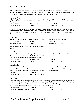#### Manipulation Spells

All are alteration manipulations, which are quite different than transformation manipulations in that they alter the elements and materials used rather than transform them. After the alteration, the elements return to normal, leaving behind the physical effects to tell the tale.

#### Lightning Bolt

A lightning bolt is actually shot out of the caster's palm or finger. This is a spell which does physical damage.

| <b>Type: Physical</b>    | Damage: $(Fx2)D$ | Range: LOS                                         |  |
|--------------------------|------------------|----------------------------------------------------|--|
| <b>Duration: Instant</b> | Target: 6        | Drain: $(\lceil F \div 2 \rceil \quad 2 \rceil D)$ |  |

» This one is hard as hell to learn folks. I've seen mageboys down at the college studying this one for days on end, trying to understand it, but they can't channel the power right. A few minor electric shocks, and that's all. Supposedly the students are forbidden to study it, but we all know what students are like. » Xdean

#### Water Bolt

|                          |                | A bolt of water is shot from the caster's arm. This is a spell which does physical damage. |  |
|--------------------------|----------------|--------------------------------------------------------------------------------------------|--|
| <b>Type: Physical</b>    | Damage: $(F)S$ | Range: LOS                                                                                 |  |
| <b>Duration: Instant</b> | Target: 5      | Drain: $[(F \div 2)$ 1]M                                                                   |  |

» Toned down, this one makes great dorm room pranks.

» Xdean

#### Ice Bolt

A manipulation spell which does physical damage, water in the air is frozen into a bolt of ice about the size of the caster's hand. The bolt is then shot from the caster's hand at the target. This spell also does damage on barriers and vehicles as well.

| <b>Type: Physical</b>    | Damage: $(F)D$ | Range: LOS               |  |
|--------------------------|----------------|--------------------------|--|
| <b>Duration: Instant</b> | Target: 4      | Drain: $[(F \div 2)$ 3]S |  |

#### Mana Shield

An area effect spell that is somewhat like mana barrier, except a small shimmering effect is created in front of the magician. It acts exactly like a mana barrier and also is an astral barrier against spells. This spell is ineffective against physical objects and non living things.

| Type: Mana               | Range: LOS |                          |  |
|--------------------------|------------|--------------------------|--|
| <b>Duration: Limited</b> |            | Drain: $[(F \div 2)$ 1)M |  |

#### Earth Barrier

Much like the Barrier transformation spell, except this barrier is constructed out of Earth and is about 10'x10'x5' feet thick. Projectiles can be shot through the barrier, but are effectively stopped or dispersed. The earthen barrier's damage is recorded using a vehicle damage monitor and treated like a physical barrier with the spell's force used as the target number.

Type: Physical Range: LOS Target: 5 **Duration:** Permanent (until destroyed) **Drain:**  $[(F \div 2) + 2]M$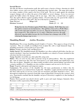#### Inertial Barrier

Also like the Barrier transformation spell, this spell creates a barrier of dense, churning air which slows bullets, arrows, and even attacks by dampening their inertial value. The mage must make a test using a number of dice equal to the force of the spell. The test is made against the attacking weapon's damage code to reduce the power of the bullet's or arrow's damage. Every two successes against the bullet reduces the damage code by one stage. After that, a normal body test applies. Note, this spell is effective against speeding vehicles. If used in this way, the speed of the vehicle is reduced by 10 x the force of the spell. The size of the barrier is 10x10xforce.

| <b>Type: Physical</b>      | Range: LOS | Target: 6                |  |
|----------------------------|------------|--------------------------|--|
| <b>Duration: Sustained</b> |            | Drain: $[(F \div 2) 2]S$ |  |

Wedge fires his Ares Predator against Wolf's Mane, a shaman. Wolf's Mane has cast this spell to construct an inertial barrier. The spell has a force of 6, so Wolf's Mane rolls six dice and comes up with 2, 4, 6, 6, 6, 6. Then he rerolls those four dice to beat a target of 9. The results are: 6, 5, 4, and 3. With four successes, the spell effectively stops the bullets because the Ares Predator has a damage code of 9M, reducing the damage stage to zero.

#### Shambling Mound *shablus Moundius*

Identification: The average shambling mound's height is 1.9 meters. They appear as heaps of rotting vegetation. They are actually an intelligent form of plant life, with a rough humanoid shape. A shambling mound has a 6-foot girth on it's lower half.

Habitat: Swamps, marshes, bogs, and Rain Forest

Similar Species: The shambling mounds (IE Shamblers) are often confused with leshies, but they are entirely unrelated. Some have postulated that the shamblers are related to Treants (included in this selection), but this is also untrue.

Young: Shamblers bread like any other plant life, using seeds.

Habits: They are active by day, able to generate energy by photosynthesis. They also supplement this with an omnivorous diet, they have been known to eat small animals and engulf larger ones. They also eat plants. Shamblers are almost totally invisible in their natural habitat, and attack with a surprise modifier of -2. Shamblers are also excellent swimmers and can survive for 30 years.

Range: Tropical, subtropical, and temperate regions.

Commentary: The presence of the shambler has led many parabotanists to believe that the shambling mound is an awakened form of plant life. Shamblers caught and dissected had reported that their make-up has no nervous system, but uses hormones and plant chemicals to move. Also, thorough investigation has reported a brain like organ of plant flesh is located in the creature's chest area. Experiments conclude that the shambler can grow if electricity is applied to it, thus healing of it of all damage.

Powers: Electro-growth (can absorb electric spells to grow and repair damage), Immunity (fire), Resistance (cold), regeneration, Plant Engulf

| <b>Attacks</b> | Humanoid |                                                                               |  |  |  |  |  |
|----------------|----------|-------------------------------------------------------------------------------|--|--|--|--|--|
| Powers         |          | Electrogrowth, Plant Engulf, Immunity (Fire), Resistance (Cold), Regeneration |  |  |  |  |  |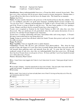| Treant | Hardwood: Angiospermia Sapiens |
|--------|--------------------------------|
|        | Coniferous: Coniforia Sapiens  |

Identification: Almost indistinguishable from trees, a Treant has thick, textured, brown bark. They have eyes, a face, and arms, but do not move about except in extreme emergencies. During winter, a Treant will not lose their leaves, but the leaves do change color. The female has no mammae.

#### Habitat: Any Forest

Habits: Treants consider themselves the protectors of the hardwood forests that they inhabit. They are very intelligent, and often can speak many languages, including Elvish (at least enough to say Get out of my trees!). Humans and metahumans are unable to spot a Treant if they are untrained *and* if the Treant is trying to blend in with his trees. The base target number is 6 for spotting a Treant. Rangers and those who live around Treants have a base target of 4.

Treants were recognized as Sentient by the United Nations in 2045 A.D. when they were first discovered. They are intolerant of evil, particularly when fire and wanton destruction of trees is involved. It's said that Treants helped create Amazonias.

Treants have a working relationship with many Amerindian tribes and roving rangers. A Treant's life span is unrecorded and are now being observed.

Young: Young are grown from off-shoots which the female Treants then protect and care for until the stalks are grown.

Range: Worldwide.

Magic Capability: Some are magically active as plant shamans.

Commentary: Treants, like all trees, gain sustenance from photosynthesis. They sleep for long periods of time (the longest of 3 years have been recorded) during which short roots grow into the soil beneath them gathering water and minerals from the soil. It seems that the treant is an awakened variant of oak trees, since they are indistinguishable from these great trees. All though there has been Treants from several species of trees. It's been said that 1 out of one hundred normal trees will awaken into a Treant.

Powers: Alienation, Plant Control

» Boy, I hope those crazy loggers don't take to much trees down for wood. These guys will get mad at them.

» Datajaq

<sup>•</sup> You re right, Datajaq. I had the opportunity to face one of these. They are quite mean when their anger was aroused. He geeked one of my pals before we got away from it. » TechnoAsp

» Who cares? How many of us have actually Seen one of them?! As long as they stay out of the city, we'll always be safe from them!

» CityBouy

|                |                           |  |  |  | W | n y |  |
|----------------|---------------------------|--|--|--|---|-----|--|
| ш              |                           |  |  |  |   |     |  |
| <b>Attacks</b> | 6M                        |  |  |  |   |     |  |
| Powers         | Alienation, Plant Control |  |  |  |   |     |  |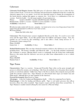#### **Cyberware**

Cybernetic Facial Disguise System: This little piece of cyberware allows the user to alter his face. Comes in three levels. Level one uses CO2 bags and special motors implanted in the face to make the character appear fat or very gaunt. Level two uses muscular motors to change the arrangement of the facial muscles, making him appear as someone else. Level three is a combination of the two systems. Each level adds 2 to the target number of a perception test.

Prices: Level 1: 120,000 ¥ Level 2: 500,000 ¥ Level 3: 700,000 ¥ Essence Cost: Level 1: .3 essence Level 2:.5 essence Level 3: 1 essence Availability: 5 days/level Street Index: 2.5

» Gotta be really careful with this one , peoples. I've heard some not so nice things about those CO2 bags if they get exposed to a little too much heat, ya see.. **•** Snoopy Assassin

Damn that little white dog!

Cyberarmor: This dermal armor system is implanted directly on the skin. It is used to cover vital areas and the upper limbs. It acts like partial armor for ballistic and impact ratings. Note, the genitals are not covered by this technology, and it also offers a body rating increase of  $2$ (Unnatural). Armor rating of 3/4

Price: 125,000¥ **Essence Cost:** .9 **Availability:** 15 days **Street Index:** 3

Skeletal Reinforcement: This one-time chemical treatment reinforces the skeleton to save you from breaking bones. The lacing is metallic, and effectively adds +3 to the body attribute (unnatural). The treatment is porous, allowing blood vessels to continually feed the living bone underneath. However, this means that the character can never get other bone enhancements or use a vehicle control rig.

Price: 200,000¥

Essence Cost: 2 **Availability:** 10 days Street Index: 4.5

#### Tiger Totem

Characteristics: Tiger is a warrior. Strong and Powerful, Tiger relies on his great strength and prowess to defeat his enemies, not technology. Like Lion, his methods are to the point, direct and he prefers to work from ambush. Unlike Lion, Tiger is the first to attack, often using his most powerful spells first and his weakest last. Tiger Shamans are often found where tigers are found: Asia and India mostly; although there are tiger shamans in the Americas.

Favored Environment: Rain Forest or Taiga.

Advantages: 2 dice for Combat and Manipulation Spells 2 Dice for conjuring Forest Spirits. Disadvantages: -2 dice for healing and illusion spells. Tiger is cool under pressure, but will go berserk as Bear does when wounded. Tiger inspires respect and fear about those around him. A Tiger Shaman is usually trained in Kung-Fu, but cannot be a Physical Adept.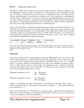#### H.O.G. — Holographic Online Glove

The H.O.G is a black glove that fits up on the arm just below the elbow. Placed it its fingertips are tiny holographic projectors which are connected to a small microprocessor located halfway up the sleeve of the glove. Attached to the back of the glove is a datajack port that can interface directly with any standard datajack, cyberdeck jack, or computer jack. Also on the glove is a small chipjack, and disk reader. When jacked in to any port, the user can download information to the glove and store it in a temporary backup, or immediately use the information. The glove reads the information and produces a 3 dimensional image directly above the palm of the hand. Technical information, documents and writings, blueprints and skematics can all be displayed.

The glove has the ability to download information from any memory stored inside the head or in a cyberdeck. Or if the user prefers, he or she may load a chip or disk into the reader on the glove and utilize the information from there as well. Information can be temporarily stored in memory backup on the glove, which can be upgraded if more space is needed. Full color images can be displayed in sizes ranging from 2 inches at the smallest to 15 inches at the largest. Gloves come with a standard booster pack and 1000 MP for storage of information.

| Concealability   Weight   Availability |     |          | Liost  | <b>Street Index</b> |
|----------------------------------------|-----|----------|--------|---------------------|
|                                        | ن ک | 8/48 hrs | 30,000 |                     |

**•** I ve heart a few bad things about these gloves. The first is that the optical chip mounted onboard is of real low quality, and doesn't store data very well. The second is the overall durability of the glove. Jarring movements or impacts can ruin it real easy, chums. » Idol

#### Warblade

This pistol is modeled after the original Slivergun with some MAJOR differences. First off, it is able to fire normal ammunition as well as Flechette rounds with a flip of the switch (as long as the right clip is inserted). It is equipped with a built in silencer, Smartlink II, and a new Gas ent (detailed below). It is able to mount top and underbarrel accessories and is definitely considered a Heavy Pistol. A high velocity system is activated when the ammunition mode is switched to Flechette, increasing the lethality of the weapon considerably. Not only this but more rounds are fired in this mode to accommodate the high velocity system.

| If Regular ammunition is used:   | SA.<br>BF | 9M damage<br>12S damage          |
|----------------------------------|-----------|----------------------------------|
| if Flechette ammunition is used: |           | SA--10S damage<br>BF--14D damage |

Damage is considerably increased using Flechette round because of the high velocity system. 4 rounds are fired instead of 3. This makes the first burst at a penalty of 4 to the target number and the second burst at 8.

Because of its dual modes, the Warblade is a convenient weapon. Since Flechette ammunition is illegal, after using it, the ammo can be dumped and left behind. Normal ammo can be inserted and you can avoid problems with the local authorities.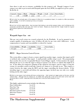Since there is only one in existence, availability for this weapon is nil. Though I suppose if your runners were able to get in touch with Warpath (quite the Fixer BTW), he might let it go for a price. He He He. 8)

| <b>Gonceal</b> | Ammo | Mode         | Damage | Weight | Avaıl | ⊥ost | 1 Street Index |
|----------------|------|--------------|--------|--------|-------|------|----------------|
|                | ∕1.0 | \ /RF<br>. д | aries  | 4.5    |       |      |                |

• From what I ve actually seen of this weapon (A little bit of a surveillance tape.), it s creator is a little over-zealous with it's abilities.. it's not all it's cracked up to be, so to speak. » TechnoAsp

» And it isn't all that original either.. Ares has been field testing a very similar weapon lately, and it will likely go into production sometime late next year, from what I ve heard. Maybe you should sell that single model for a good price before it goes into mass production.. » Idol

#### Warpath Super Gas ent

This gas vent recoil system was created exclusively for the Warblade. It can be mounted to any weapon capable of mounting gas vents. It follows all rules for gas vents with 2 differences recoil compensation is 5 points and concealability is reduced by 4 points.

| Concealability   Weight   Availability   Cost |      |      | - Street Index |
|-----------------------------------------------|------|------|----------------|
| -4 to gun                                     | 7/24 | 2500 |                |

#### RICS — Rigger Intrusion Control System

This system allows a rigger to locate a remote signal from another rigger, monitor that signal, and if so inclined, take control of that signal. A small portable satellite setup is used. The programming then searches the area for recognizable Remote Control Rigger signals. It then monitors the signal, allowing the user to see what the rigger is doing in regards to any drones or vehicles that might be in use. It also allows for temporary jamming of this signal for non-riggers, and if a rigger is using the system, it is possible to jack in and take control over whatever is currently in use. This requires a contest between the rigger using the RICS and the rigger controlling the drones/vehicles. If the intruding rigger is successful and defeats the opposing rigger, he/she/it may now take over, totally locking out the other rigger.

» Which is one reason most vehicles still have a physical key. Said 'locked out' rigger yanks out the key, and the vehicle stops. Although this isnt always fun, it's better than going like a bat out of hell down some road with someone else in control. Especially when they likely don't have your best interests in mind. » Idol

This highly sophisticated system includes the following:

| Data Codebreaker              | Level 10 |
|-------------------------------|----------|
| Data Line Tap                 | Level 10 |
| <b>Signal Locater</b>         | Level 10 |
| <b>Data Encryption System</b> | Level 10 |
| Data Line Scanner             | Level 10 |
| Jammer                        | Level 10 |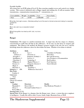#### Portable Satellite

All systems have an ECM rating of Level 10, thus ensuring complete access and control over rigging systems. This system is dedicated only to Rigger signals and nothing else. It will not monitor radio  $transmissions, communication transmissions, T-transmissions, etc.$ 

| Concealability | Weight   Availability | Cost      | <b>Street Index</b> |
|----------------|-----------------------|-----------|---------------------|
| None           | 24/48                 | 2,000,000 | 2.5                 |

<sup>•</sup> Yes folks, that s right, six zero s. Effectively putting it out of the reach of all real runners and making it a corporate monkey-toy.

» Idol

```
» Um, Idol, aren't you a corporate monkey?
```
» Trix

» Must have gotten me mixed up with 'I-dull', my chum. » Idol

#### Ranger

Commentary: The ranger is a modern mountain man. A ranger may also be a mage or a shaman, concentrating in spells that aid him in the wilderness. Or he may use the latest in weapons and equipment. But whatever the method, the Ranger's greatest weapon is his wits, his savvy, and his knowledge about the wilderness where he often makes his home. Whether it be urban or natural.

| <b>Attributes</b>            | <b>Skills</b>                   | Gear                                                                                             |
|------------------------------|---------------------------------|--------------------------------------------------------------------------------------------------|
| Body: 3                      | Car: 3                          | 4 Antidote (4) Patches                                                                           |
| uickness: 4                  | Firearms: 6                     | <b>Binoculars</b>                                                                                |
| Strength: 3                  | Etiquette (Tribal): 5           | Bow and 20 arrows                                                                                |
| Intelligence: 5              | Sorcery: 4                      | Ares Predator w/ 20 ammunition                                                                   |
| Charisma: 2                  | Conjuring: 3                    | <b>Real Leathers</b>                                                                             |
| Willpower: 4                 | <b>Magical Theory: 1</b>        | <b>Ford Americar</b>                                                                             |
| <b>Essence: 6</b>            | Etiquette (Street): 3           | <b>Street Lifestyle</b>                                                                          |
| Magic: 6                     | <b>Special Skills</b>           |                                                                                                  |
| <b>Reaction: 4</b>           | Tracking: 4                     |                                                                                                  |
| Initiative: 4<br>1D6         | <b>Wilderness Survival: 3</b>   |                                                                                                  |
| <b>Dice Pools</b>            |                                 |                                                                                                  |
| Combat: 6                    |                                 |                                                                                                  |
| Cyberware                    |                                 |                                                                                                  |
| None                         |                                 |                                                                                                  |
| Contacts                     |                                 |                                                                                                  |
| Choose (2) contacts          |                                 |                                                                                                  |
| <b>Spells</b>                |                                 |                                                                                                  |
| Combat:                      | Detection:                      | Health:                                                                                          |
| Manaball: 4                  | Detect Life: 3                  | <b>Heal Moderate Wounds: 3</b>                                                                   |
| Sleep: 4                     | <b>Personal Combat Sense: 5</b> |                                                                                                  |
| Power Bolt: 3                |                                 |                                                                                                  |
| <b>Starting Cash: 15,734</b> |                                 |                                                                                                  |
|                              |                                 | Special Note: If the Ranger is a shaman, then the Ranger must choose a totem that gives emphasis |

to intelligence. Usually this will be either Coyote, Snake, Eagle, Mountain Lion, or Wolf.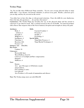#### Techno-Ninja

"No, I'm not like those Hollywood Ninja wannabes. I'm not your average physical adept at ninja skills either. I use chrome, real chrome chummer, to aid me in my goals. Besides, cyberware gives you an edge, and boy do you need on the streets.

You either have to have the edge, or risk personal extinction. I have the skills for your shadowrun, I have the time, the question is  $\dots$  do you have the money?

Commentary: The Techno-Ninja has forsaken the way of the physical adept and has turned to cyberware to get what he needs. He's a trained assassin in the art of Stealth. An armored predator with a finesse that surpasses that of the Street Samurai, deception and strength are always his goals.

| <b>Attributes:</b>                         | Skills:                                               |
|--------------------------------------------|-------------------------------------------------------|
| Body: 4                                    | <b>Unarmed Combat: 5</b>                              |
| uickness: 5                                | Firearms: 5                                           |
| Strength: 2                                | Stealth: 5                                            |
| Willpower: 4                               | Psychology: 3                                         |
| Intelligence: 4                            | <b>Special Skills:</b>                                |
| Charisma: 5                                | Ninja Body Postures: 4                                |
| Reaction: 4(8)                             | Ninja Martial Techniques: 2                           |
| Essence: 1.5                               |                                                       |
| Initiative: $4(8)$ 1D6(3D6)                |                                                       |
| Dice Pools:                                |                                                       |
| Combat: 10                                 |                                                       |
| Cyberware:                                 |                                                       |
| Retractable Spur                           |                                                       |
| Wired Reflexes (level 2)                   |                                                       |
|                                            | Cybereyes /w Lowlight and flare compensation          |
| Datajack                                   |                                                       |
| Skillwires: 4                              |                                                       |
| Gear:                                      |                                                       |
| Katana                                     |                                                       |
| Ares iper Silvergun /w 50 flechette rounds |                                                       |
| ninja Uniform                              |                                                       |
| Fine Clothing (5 suits)                    |                                                       |
| <b>Low Lifestyle</b>                       |                                                       |
|                                            | Ares Predator /w 20 rounds of ammunition and silencer |

Note: The Techno-ninja starts out with 3D6x100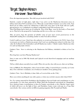### Target: Stephen Kenson Interviewer: Steve Ratkovich

#### *First, the important question. How did you get involved with FASA?*

Entirely a matter of right place, right time. I was active on the Shadowrun discussion areas on GEnie, back when FASA used that service. When the second edition Grimoire was in the works, Tom Dowd ran an online contest for submissions to fill in the extra space in the book with new spells, physad powers, etc. I submitted everything I could think of and Tom used most of it.

Then Paul Hume had to back out of writing the Way of the Mage essay for the book, so Tom asked me to. That led to the proposal for Awakenings and the rest, as they say, is history.

#### *This, of course, begs the question of whether some of your more recent posts/surveys to the ShadowRN mailing list is something similar to what Tom did on GEnie?*

I wish I could say it was. I don't have the authority to recruit new freelancers for FASA. Some of my recent posts are tied to a Shadowrun project, but I can't say anything more about it at this time. I do value the feedback of the listmembers and all Shadowrun readers; I think it makes Shadowrun what it is and can help make it better.

[Author's Note: Steve is referring to the Shadowrun 3rd Edition, scheduled to debut at Gen Con '98.]

#### *How long have you been Playing Shadowrun?*

Since it came out in 1989. My friends and I played several short-lived campaigns and one medium length one.

*Tell us a little about yourself, if you would. Where do you live, how old you are, that sort of thing.*

I live in Milford, New Hampshire, where I moved after college. I turned 28 just yesterday (as I write this). I live with three roommates, two of whom are members of my gaming group.

[Author's Note: Steve's Birthday is June 16th, as I received this on the 17th.]

*Have you written anything for any other games, or done any work for anyone other than FASA?*

Yes. I've written material for Earthdawn (the Earthdawn Survival Guide and contributions to a few sourcebooks). I've also done material for White Wolf (the Enchanted sourcebook for Changeling), Steve Jackson Games (contributions to three In Nomine sourcebooks so far), Mayfair Games (most of which will never see the light of day), and Daedaleus Games (some write-ups in a Feng Shui sourcebook). Also various articles in different gaming magazines like Pyramid and Shadis.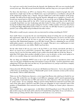*I've read your work in the Scrawls from the Sprawls, the Shadowrun APA you were involved with several years ago. How did you get involved with that, and how long were you a part of the APA?*

For those who don't know, an APA is an Amateur Press Association: a bunch of people who write material on a single topic (in this case Shadowrun), copy it and mail it to a coordinator, who puts all of the submissions together into a fanzine that gets mailed out to all of the members of the group. Actually, I'm still involved with Scrawls from the Sprawls, although not as regularly as I used to be. Scrawls got started back in 1991 by Niko Wieleba. I saw an ad she ran in Challenge Magazine and wrote to her about doing stuff for the APA. I tried out many Shadowrun ideas in the APA that eventually found their way into Awakenings and other books I've done, and I've always appreciated having the feedback from other people writing for Scrawls. A fellow member of Scrawls (Jon Szeto) is writing the Rigger Black Book 2.0 for FASA as I write this. An APA like Scrawls is a great place to practice your writing skills and get feedback from other writers.

#### *What advice would you give someone who was interested in writing something for FASA?*

Start small. I know everyone has the one sourcebook they dream of writing, but very few people get that opportunity right off. If you want to write stuff for FASA long-term you need to win their trust and prove you can do the job. It's best to start out some place where you can get some writing experience like Shadowland magazine or an APA like Scrawls. Then try submitting for one of FASA multi-author projects; an adventure collection, for example. That gives you a small project to start out with and demonstrate your ability. Build it up from there.

On the other hand, if all you ever want to do for FASA is your dream sourcebook and that's it, there's no reason not to send FASA a proposal. They might love your idea and want you to do it anyway, but it's rare for first-time authors to get a whole sourcebook right out of the box. Keep in mind that FASA plans their product schedule at least a year in advance, so they aren't going to be able to even consider doing your sourcebook idea for as much as another year.

The one thing you definitely DON'T want to do is start off a proposal or introductory letter with these are the parts of Shadowrun that suck and how I want to fix them. You'd be amazed how many submissions FASA gets that start out that way. It's just bad form to try and get work from a company by telling them their product sucks.

*I know from the APA that Talon is one of your old Shadowrun Characters. You've also used him in a Short Story in Awakenings, and as a "Shadowtalk" poster in the comments sections of the various Sourcebooks. Tell us a little about him.*

Talon was my first Shadowrun character, a street mage from Boston who ended up in Seattle for our first game. He worked his way through several different campaigns until I started gamemastering more regularly. I made him into an NPC and contact for other characters. He's now become a kind of prime runner for my campaigns. When I started writing Shadowrun material I used Talon and some of the other player characters and NPCs from our campaigns in source material. Some of the members of Dunkelzahn's fixer-network from Portfolio of a Dragon are former player characters, for example.

Talon actually has a guest appearance in Jak Koke's third Dragonheart novel Beyond the Pale. Jak needed a mage for the book and he asked me if I minded him using Talon. It was cool with me, so Talon ends up working with the other characters in the book in a very cool story.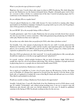#### *What is your favorite type of character to play?*

Magicians, bar none. I nearly always play mages in whatever RPG I'm playing. The whole thing that got me into Shadowrun was the fantasy/cyberpunk fusion. Regular cyberpunk games tend to bore me; everyone is either a decker or a samurai most of the time. I started out playing mages, but I've tended more in the shamanic direction lately.

#### *Do you still play SR on a regular basis?*

I haven't played Shadowrun in a little while because I've been involved in running other things (particularly my Earthdawn campaign). Gaming for my group tends to go in cycles, but I'm getting to where I'd be psyched to do Shadowrun again.

#### *Do you GM SR? If so, do you prefer being a GM or a Player?*

I usually gamemaster. *sigh*. I love to play Shadowrun, but our group currently doesn't have anyone else who can run it due to various constraints. I like both gamemastering and playing, but I think I'd rather play Shadowrun than run it right now.

#### *Do you have any other duties that you perform for FASA, other than a freelance writer?*

Not formally. I do a fair amount of playtesting for them for new stuff. I recently playtested the Shadowrun Card Game, which is a blast and has in-jokes and inspiration galore for long-time SR players, not to mention some GREAT artwork for the cards. There's going to be a Talon card in the expansion set planned for next year, which I'm pretty psyched about.

#### *How does FASA get playtesters for their material? Is it mostly justfreelancers like yourself, plus the full time employees, or do they accept applications for "playtesters"?*

It is mostly in-house (which includes freelancers like me much of thetime). Sadly, FASA doesn't usually have time for a lot of out-of-house playtesting. They do keep a database of people interested in playtesting, however, so people who are interested should contact FASA.

#### *Do you write much fiction, Shadowrun or otherwise?*

Not as much as I would like to. I write a lot of stories about my SR characters. In fact, the Talon story in Portfolio of a Dragon first appeared in Scrawls from the Sprawls. It fit the theme of the book well, so I updated it to include the events of the Big D's death and will and sent it on to FASA. They liked it and included it in the book.

#### *Would you consider writing a Shadowrun Novel, if given the opportunity?*

Actually, I already have. I sent off a final draft of my first Shadowrun novel to FASA about a week ago. It's entitled Technobabel and, without giving anything away, I can say it connects some old Shadowrun plot threads with some new threads planned for next year. It should be published sometime in the Spring of 1998. I'm already working on ideas for the next one.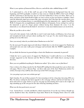#### *What is your opinion of Immortal Elves, Horrors, and all the other oddball things in SR?*

As I understand it, a lot of this stuff was part of the Shadowrun background from the very beginning, and FASA gradually revealed it as time went on. I think the IDEA of the Cycle of Magic and the connections to the Previous Age are cool, but I think they've been over-done. There are so many cool parts of the Sixth World it makes no sense to focus on just one faction or plotline. I don't want the immortals wiped out en masse like some extremists, but I also hate the concept where every important event in human history is controlled/inspired by the immortals (a la ampire from White Wolf). It cheapens the accomplishments (and the failures) of humanity. In my writing I try and use the immortals as part of a larger picture without having them dominate the scene. I see the immortals as very distant from the kind of street level events most shadowrunners are involved in.

#### *What do you like to do to relax?*

I net-surf a fair amount. I also really like to read. I read comic books, sci-fi/fantasy, lots of new age and metaphysical books and just about anything else I can get. I've also started doing yoga and getting out on my bike more.

#### *Since you netsurf, what do you think about Shadowrun on the Net?*

For the most part I'm quite impressed with them. I think there is a lot of net-support for Shadowrun and people turn out some really great web-pages and net-books (like the NERPS supplements, for example).

#### *Do you think the Internet in general helps or hurts the Shadowrun community in general?*

I think the 'net is a great source of support for Shadowrun. I would really love to see Shadowrun strongly supported on the Internet and the Web by FASA, and I think they're moving in that direction.

#### *Have you ever published anything for Shadowrun online? If so, where can we find these?*

I have written a few things (mostly for the ShadowRN mailing list) that people have put on their own web pages. There's even a Kenson Page out there with some of the short Shadowrun articles I've written. Excerpts of my stuff has also shown up on the FASA web page, of course.

#### *Are you going to get your own website put up?*

*Sigh.* Someday. It's one of those projects I've been meaning to do for a long time, but using AOL on a Mac, I'm always waiting for the latest upgrade to the web-page software and haven't had time to sit down and work on a page. I'd love to get my own page up and running, but I want to do it right, not slap something up on the web just for the sake of having something out there.

#### *What was the last good movie you saw?*

I saw Austin Powers recently and liked it, which surprised me. It was the way I always thought spy movies should be done: they should have kept James Bond in the Swinging Sixties where he could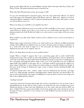hang out with villains like Dr. No and Goldfinger and hip chicks with names like Pussy Galore and Plenty O'Toole. The modern Bond just hasn't worked for me.

#### *What other Role Playing Games, if any, do you play or GM?*

I've got a lot of background in super-hero games, since I'm a big comic-book collector. I've played most of the major ones (Champions, Marvel, DC Heroes and even illains and igilantes). I've got an ongoing Earthdawn campaign as well. I've played and gamemastered too many other games to count over the last fifteen years or so.

#### *What is one thing you would like to accomplish some day?*

Once I get another Shadowrun novel or two under my belt I would like to write a more mainstream science-fiction or fantasy novel where I can create my own world-setting and characters. I love playing around in the Sixth World, but I think every writer wants to create a place of his own sooner or later.

#### *What would be your idea of the "ideal" world to work in ,whether it was to write a novel about, or to game in?*

Hmmm, that's tough. I don't know if there is an "ideal world" for me. I like lots of different fictional settings. It'd be difficult to be limited to just one. I guess, if I had to pick one thing, it would have to be a world with some kind of magic in it. Not necessarily the fantasy-and-fireball magic of Shadowrun, but some sort of magical side to it.

#### *What is one thing about you that we never needed to know?*

*Laughs* Where to begin? I suppose that I am a practicing pagan with a mostly Celtic/Nordic background. I bring a fair amount of real-world mythology and magical theory into my Shadowrun work. One of the things I've always liked about the Shadowrun magic system is how it models parts of how real pagans and magicians believe magic works. I try to be respectful in my use of different pagan faiths and traditions in the game, just as a Christian would be portraying his religion in a game setting. I think there is such a thing as too much realism in a game like Shadowrun, though. At least part of the heritage of Shadowrun's magic system is fantasy wizards chucking fireballs and magic missiles.

I've played around with a more realistic magic system for Shadowrun but, honestly, real magic works very subtly through coincidence and happenstance without all of the cool special effects. It's just too slow and boring for most gamers (including me) to put up with! I want my street mage to be able to throw lightning bolts, damn it!

#### *Anything I missed?*

I am always interested in hearing what people who read my work think of it. You can write to me at talonmail@aol.com. It may take me time to reply to an email, but I do read everything I get. I am a Shadowrun fan-boy at heart and want Shadowrun to be the coolest and most kick-ass RPG out there. I think FASA does a great job and like to hear from people what works and doesn't work in the game. If I agree, and there's a way, I always try to take feedback I get into account in the next book I write.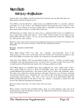# Neuro Blade Adam Jury <fro@lis.ab.ca>

[Authors Note: Neuro Blade is based on an idea Skye Comstock came up with earlier this year. Many thanks to him for letting me use it.]

Neuro Blade, a free-for-all decker combat arena, was established in 2057 by currently unknown ownership out of the Denver area. Egotistical deckers have found this to be a haven, of sorts. Most of us meet someone at one time or anther that we would like to get back at, and this is the place many people are doing so, virtually. Most of the time.

All lethal forms of combat inside the main arena is outlawed. Sealed 'rooms' are available if you have a major deal to settle with someone. From 04:00 - 24:00 everyday you can engage in nonlethal combat with other deckers. Or you can just hang around in the virtual bar, chatting with the staff and the other deckers.

» **Chuckle… because it's a Smart Frame? » Delirium**

Neuro Blade changes SAN's every other day, sometimes more frequently. Some of the things going on in there aren't exactly legal. Lone Star deckers have found and attempted to shut down Neuro Blade several times, but nobody has found out it's exact physical location.

Game Note: Neuro Blade s SAN isn't particularly tough to come by. A decker or related contact would likely share that information for free, as it doesn't have any value in itself. The current SAN is usually posted to Shadowland only minutes after it changes, publicly accessible.

Neuro Blade appears as a megalithic ebony dome, roughly the size of six combat biker arena's, with a peak so high you can't see it. Rows of virtual lights hang above the stadium, but don't actually illuminate the ground below. The stands are dark opal in colour, with leatherlike chairs. The main arena is floored in chrome and neon, with giant 'vidscreens' every 30 metres, featuring action from around the arena. Attached to the east and west sides of the dome are large pyramids of tinted glass, non-translucent. The dome to the west is the one in which lethal combat and hidden meetings take place in, the dome to the east contains a virtual bar, a virtual store, and areas for the staff and organizing the tournaments.

When a decker is bested in the non-lethal combat, about two dozen miniature crabs come out of the heating ducts under the bleachers and carry the fallen decker back into the waiting area, much to his or her embarrassment.

<sup>•</sup> When you order a drink at the bar, theres this real fragging nifty decker with a robot persona that brings you your drinks. I don't know how he does it, whenever I'm there, he's there, delivering drinks all day! » ONURNEEZ

<sup>»</sup> From the outside, it looks HUGE. From inside, it doesn't seem near as big.. » Tryster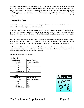Typically 100 or so deckers will be hanging around, ranging from kid hackers on 10-yen toys to some of the real heavy hitters. There are usually 8-12 staffers online, keeping track of who enters and leaves, what's going on in the main arena, tending to the stores and bar, and keeping a discreet eye on the private rooms. ery little is known about the owner, he appears rarely, and doesn't make a big deal of himself, preferring to watch the people in the club and give pointers to some young prodigies.

### Tournament play

Earn a hot new util, or even some nicer warm nuyen. For four hours every night Neuro Blade is turned into a virtual hell pit, and everyone loves it.

Exactly at midnight every night the entire arena is cleared. Thedays competitors have 30 minutes to register and choose a position. At exactly 00:30 the first 'game' is lodaed. The goal? Don't get dumped. The arena is a null zone — lethal biofeedback can't be created there, so no deaths accidental or otherwise, can take place.

After an hour, there's a ten minute pause. Scores from the first round are tallied and the deckers have a few moments to make any adjustments. Then they fill the floor for the second round. Same process, 60 minute round, then another ten minute break until the final round starts.

Each round has it's own unique construct: The first round may be a huge lush forest, the second an underground parking garage, the third like the pits of a purple hell. Reality filters have no effect in the game, whoever adapts the best has the advantage.

The scoring breaks down as follows:

| 1st Round              |                      |
|------------------------|----------------------|
| <b>Time Eliminated</b> | <b>Points Scored</b> |
| First 20               | Out of competition   |
| 21-40                  | 40                   |
| 41-60                  | 60                   |
| 61-80                  | 80                   |
| 81-99                  | 100                  |
| <b>Not Eliminated</b>  | 125                  |

| $2nd$ Round            |                      |
|------------------------|----------------------|
| <b>Time Eliminated</b> | <b>Points Scored</b> |
| First 30               | Out of competition   |
| 31-60                  | 50                   |
| 61-80                  | 80                   |
| 81-99                  | 100                  |
| <b>Not Eliminated</b>  | 125                  |

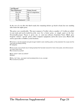| 3rd Round              |                      |
|------------------------|----------------------|
| <b>Time Eliminated</b> | <b>Points Scored</b> |
| First 40               | Out of competition   |
| 41-70                  | 50                   |
| 71-90                  | 80                   |
| 91.99                  | 100                  |
| <b>Not Eliminated</b>  | 125                  |

In the case of a tie after the third round, the remaining deckers go head to head, last one standing takes home the nights prize.

The prizes vary considerably. The most common is 'Creditz', where a number of Creditz are added to your total, and can be traded in at the store for a better prize, or simply spent at the bar. Occasionally proper Nuyen is given out, or some new software. Sometimes Neuro Blade gives frequent winners 'special' prizes, either computer equipment, and in the rarest cases, Matrix info such as passcodes or hidden system locations.

» The trick is, very few people ever get enough Creditz to earn anything useful, so they abandon the cause and the club ends up paying nothing..

» PerSeptIve

» Not a scam, but a simple way of doing business that has been around for many many years, and will be around for many many more. » Ze Cloned Accountant

**•** Say, haven t I seen you before? » Blarph!

» Who, me? Naw.. your eyes must be playing tricks on you, youngin..

» Ze Cloned Accountant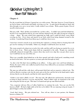# Quicksilver Lightning Part 3 Steven "Bull" Ratkovich

### Chapter 4

For the second time in 24 hours, I opened my eyes with a groan. This time, however, I wasn't lying in my bed at home, with friends and family worrying over me. As pain lanced through my head, and then through every nerve in my body, I really wished I was at home. With a grunt of pain, I forced myself to look around.

Flat gray walls. That's all that surrounded me, on three sides... I couldn't turn and look behind me, because I was suspended in mid air, my arms and legs chained to the side walls, forcing me to hang in a large shape. My arms ached from supporting my bulk, and I could feel dried, crusty blood covering my face. Every bone and muscle in my body ached from being slammed around in the accident. Considering I'd just been blown up, it could have been worse.

I must have twisted a muscle in my neck during the explosion, or during whatever beating that troll gave me for running over his buddy. Either way, though, I could barely move my head.

The room seemed to be about ten to twelve feet wide, and the wall I was facing was maybe five or six feet in front of me. Thick metal chains held me suspended to the walls. Despite my somewhat artificially enhanced strength (Hey, runners these days need every edge they can get), there was no way I could bust my way out of this one.

There was a metallic clang behind me as the door opened, and with a loud growl, something struck me hard in the back. I let out a grunt as yet more pain shot through my body.

So, this is the Ork that's been meddling in my affairs. A deep, quiet voice said from behind me. Slowly, the owner of the voice walked around in front of me, followed by an enormous troll holding a metal baseball bat.

The man was tall and this, with short, well groomed dark hair and an expensive, tailored suit. The troll was likewise wearing a suit, but the nasty grin on his face and the bat in his hand made it quite obvious that he was the muscle, and that he truly enjoyed his job.

I believe your name is Bull, is it not? The man said. He talked slow and leisurely, obviously used to being in charge and have everyone obeying him. When I didn't reply, he motioned to the troll, who swung the bat into my gut. This time I screamed and spit up some blood and bile.

Now, cooperate with me, Ork, or I allow Smith here to continue his work. Now, are you the Ork known as Bull? He had a slight smile on his face as he talked. He was enjoying seeing me in pain. I glared daggers at him, but nodded.

Good, that's better. His grin sickened me. Now, tell me, where is your partner, the Shaman known as Johnny 99?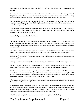Good, that meant Johnny was alive, and that this mad man didn't have him. "Go to hell, you bastard."

Stars exploded in my field of vision as the bat struck me in the side of the head. aguely, through the pounding of my skull, I could hear the Troll laughing. The vision in my right eye turned a filmy red as blood poured down my face. I felt sick, and it was all I could do to stay conscious.

You are really pissing me off, you wretched scum! The man roared. It seemed my refusal to cooperate was really getting to him. I felt a grim satisfaction at that. "Now tell me what you know of uicksilver Lightning! Tell me!

I summoned all of my remaining strength to raise my head up and glare at him. I spit a stream of saliva and blood at him, spattering the collar of his white silk shirt. With a snarl he motioned to the troll again and stalked out of the room.

Mercifully, I passed out after the first blow.

I have no idea how long I was unconscious, but when I came to, I wished I hadn't. Every breath was torture, and my lungs burned with the effort. I knew I had several broken ribs, and from the searing pain in my right shoulder, it felt like the joint was out of socket. That damned troll had worked me over but good.

I heard the door behind me open again, and I winced. All I could think of was Marie and the kids. With a sigh, a very painful sigh, I prepared myself to deal with the suit and his pet troll again.

So Bull, how's it hanging? A grinning, familiar Amerind face appeared in front of me, an annoying smirk on his face.

Johnny! I gasped, wondering if the pain was making me hallucinate. What? How did you...?

Shhh." He said, motioning for me to be quiet. He pulled out his enchanted blade and sliced through the chains holding me up. I immediately collapsed in a painful heap on the floor.

The Shaman helped me to a sitting position, then placed his hand on my forehead. With what he claimed was an ancient Indian chant passed down by his ancestors (I suspected it was just jibberish), he cast a spell and a warm sensation passed through me as my body was healed. Well, kinda healed. My ribs still ached and I was sore from head to foot, but I could move.

C'mon, Bull. We need to get out of here. Now." Johnny said, helping me to my feet. He ran out the door, and I stumbled out after him.

In the hallway outside my prison, there was an unconscious Ork with an Uzi lying next to him. He must have been guarding the cell when Johnny showed up. I grinned and we paused long enough for me to grab the Uzi and strip off the guard's armored Long Coat. I felt a little better with some clothing on. Running around naked doesn't do well for your self esteem.

What the hell is going on? I whispered to Johnny as we crept down the hallway.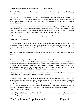Did you see a dark-haired man and a hulking troll? he asked me.

Yeah. And I owe those bastards some payback. I snarled. Just the thought of that Troll beating me made me wince.

Well, the man was Kano Sorennto, the man we were hired to find. The troll's name is Smith. He's Kano's bodyguard." He whispered back at me. We ducked around the corner as two men wearing lab coats walked by. We crouched, and I saw Johnny set to cast a spell should one of them look around the corner.

I couldn't really catch much of what they were saying. They were talking in hushed tones, but I did catch the word uicksilver. This immediately piqued my interest. After all, this is what we were getting paid the big money to find out about. Though compared to the cost of that van, what we were getting paid was pocket change. Yet something else to talk to the Johnson about.

Bull, you coming? I started and looked up to see Johnny waiting for me.

Sorry John... Was thinking.

Well, let's get going. he said, and we moved down the hall. When we got near the exit, Johnny cast an invisibility spell on the two of us, and we slipped out past a couple more unconscious guards. I paused long enough to look over the guards uniform, and noted the Aztech Logo on the collar and the sleeve.

And then we were gone from that cursed building, but I planned to be back. I owed someone big time.

So how the hell did you ever find me, Johnny? And what did you find out on the streets. I asked once we were at our safehouse. We have three apartments in the low rent section of Cleveland that we used a hidey holes when the heat came down. We got ahold of Marie and uxa, and they and the kids were fine, and once we warned them, they took off for Tailspin's place. While our house was fairly heavily guarded, they would be a lot safer with the Old Coyote Shaman and the ghost if we weren't around. And Tailspin had more than a few tricks up his old sleeve.

Johnny gave me that irritating grin again. Actually, I didn't find drek on the streets. Nobody had ever heard of this slag Sorrento, nor this uicksilver Lightning.

However, I got a call from Joey about 10 minutes after your van was blown to pieces. He recognized it, and snagged a couple things out of the wreckage before the rest of the Star got there." With that, he pulled out a battered case with a familiar red and black camo pattern on it. My cyberdeck! Joey is a Detective with Lone Star, and one of Johnny best buds. Johnny supplies plenty of donuts, as well as a few other things, and Joey sends us some useful data, as well as the occasional pulling our asses out of the fire with the Star. It's a nice little arrangement, and for saving my Deck, Joey was getting a huge fragging reward.

Great. I figured I'd lost this too. Thank God for miracles. I'm surprised it survived that crash. I muttered, opening the case and running a quick diagnostic on the deck. All the systems were in one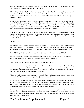piece, and the memory with the stole Azzie data was intact. "So, if you didn't find anything, how did you know who Sorrento is, and how did you find me."

Johnny 99 chuckled. Well, finding you was easy. Remember that Tissue sample I asked you for? Me and Penth had you tracked in less than 5 minutes with it. As for Sorrento, I almost ran into him in the hallway while I was looking for you. I managed to turn invisible and hide, and got to eavesdrop a little."

Seems he was talking to his boss. I never caught the name of the boss, but they were talking about you. You're lucky I found you when I did. Bossman told Sorrento to wax you if you didn't talk. Anyway's, they didn't say much about uicksilver, but apparently it has something to do with computers. I couldn't make most of it out, you know how I am with that techie crap. But he did mention something about a double speed processor, or something like that.

Hmmmm... Ok. cool. Mind watching out for me while I deck again. I need to check a couple contacts in the matrix, and see how my decrypt programs doing with that data I snagged from Aztechnology." Johnny nodded once, and I moved over to a corner to jack in and got back to doing what I do best.

#### CHAPTER 5

Three hours later, I pulled the datajack out of my head and looked around, my head throbbing. You know, decking with a concussion is really not a healthy thing to do, but unfortunately, I didn't have time for several days of bed rest. I looked over to see Johnny opening up a steaming pizza box.

Yo Bull! Hungry? Got some Papa Joe's. Extra Cheese." he said around a mouthful of pizza.

Rubbing my temples I nodded and shuffled over to the table, my body feeling like a giant bruise as I moved. Johnny tossed me a cold Cola, and settled down to eat a few slices.

Johnny let me eat for a few minutes, then asked So what did you get?

I set down the crust on my sixth slice of Pizza, and sighed. "Well, you were right. This is definitely something computer related. Looks like it's pre-production designs for a new Cyberdeck processor, and from the performance readouts, it moves twice as fast as anything on the market. Looks like it could be a prototype for an 8th Generation Cyberdeck."

Johnny nodded, not quite understanding. Ok, speed. Can't you buy programs and such to speed up your deck already? Is this something similar, just a little faster?

No, not really. What this does is makes E ERYTHING in a Cyberdeck move faster. OK, look at it like this. Imagine an engine in a car. If you make one part of that engine work better and faster, while it improves how the car works, and makes it go a little faster, it's not going to make all that big of an impact." I replied, trying to explain it in simple terms for Johnny.

Now, imagine being able to replace something on the car that made everything on it move twice as fast, and twice as efficient. You would have a car that could travel twice the speed of the old one, with half as much gas, and being able to travel twice as far before needing a tune up or such because it was that much more efficient.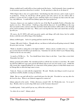Johnny nodded and I could tell he at least understood the basics. And fortunately, knew enough not to ask anymore questions about how it worked. So, the question is, what do we do about it?

Well, I figure this is why we've gotten hired. Aztechnology has this tech now, and is ready to put it in production. If they do, they'll have all the patents and such, and no one else will be able to produce a version of it for a couple of years, until they find a way to design one that works the same way, only different. I could tell I lost Johnny again, but I just pushed on.

Anyways, chances are our employer works for one of the Big 10, probably Fuchi or Renraku, but maybe even Ares. This tech here I held up a chip with the data on it Is worth Billions to the corp that can market it first, and not only that, but before hand, their deckers will be able to slice through pretty much anything sent their way. When you're moving that fast, their ain't much that can keep up with you.

"Of course, the IC SOTA will catch up pretty quick, and things will settle down, but for awhile deckers with this tech will be kings of the datalines.

Johnny nodded again. And we're getting paid how much for this gig?

Ummm, 10K each, I believe. Though with my van blown to hell and myself getting tortured, I think the price just went up. I replied.

Think we should try taking this to the highest bidder? Johnny asked, a twinkle in his eye. I always got worried when he decided to get mischievous. Sometimes he took the whole Coyote Shaman thing a little too far for our own safety.

As much as I'd like to... No. You should know better than to ask that. I gave him a stern look. Remember last time?

Johnny grunted and nodded. He remembered all too well the last run that we tried that. We ended up with four different corps and a pissed off Yakuza clan on our asses for nearly a year. I think the only reason they stopped looking for us is that most of the primary players in that little drama were in Chicago like us when the bugs came to town.

Yeah, ok. I know, we stick with the original deal. "He said. "Besides, last thing we need is to get our rep blown to hell by double crossing our Johnson.

Right. But we can and will ask for a good deal more for this info. Provided we can stay alive for the next few days. When is our Johnson supposed to contact us?

Johnny glanced at his watch. Friday afternoon, around 1:00. It's Wednesday now. So we got 2 days. Besides, don't we need to dig a little more on this Sorennto character?"

I nodded grimly. Yeah, and if I get my way, it'll be dirt on his grave.

So, where do we start? Johnny asked.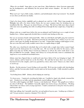Where do you think? Same place we just came from. Itlan Industries, where Sorrento apparently has his headquarters, and definitely has his private little torture chamber. It's time for a little payback."

What can I say? I get a little cranky, vindictive, and melodramatic when I get tortured. You should see me when you threaten my family.

I had a few hours before nightfall, and we planned our raid for 3 AM. That's long enough after Midnight, but still a few hours before Dawn, the two most common times for breaking into an installation like this. That gave me about 8 hours, so I slept. The bed was little more than a board with some worn out padding, but with everything I'd been through the last couple days, I slept like a rock.

Johnny woke me a couple hours before the run was planned, and I looked up to see a couple of semifamiliar faces. Johnny apparently decided that we needed some backup on this one.

One was an enormous female troll named Sally. Sally ran with Shark and Spill's gang, but wanted to break into the biz, so to speak. She'd been pestering me and Johnny for a chance to go on a run with us, and I guess he finally decided that it was time. I hoped that nothing would happen to her, She was a nice kid, and I really wouldn't want to have to explain things to Spill.

The other was a hard-faced cyberdude that we'd worked with a couple times before named Angel. Angel wasn't the ideal partner for a team like ours. He was in the biz solely for the money, and I didn't trust him any further than I trusted my Johnsons to tell me the entire truth about a run. Plus, he killed far too casually. Johnny and I always try to keep the body count to a minimum, but Angel never even considered non-lethal tactics.

Johnny must have figured that we would need some heavy hitters if he was bringing in Angel. Of course, Johnny said he found me on the first floor. He said that he knew there was at least one basement level to the complex, and it was guarded by a heavy duty ward. Chances are, that's where we need to go.

Besides. On this mission, I wasn't feeling overly merciful. We'd run into trouble with Aztechnology before, and this Sorrento joker hadn't exactly made me his bosom buddy. I fully intended to pull no punches.

You feeling better, Bull? Johnny asked, helping me stand up.

I've been worse. I muttered, stretching the kinks out. I nodded to Angel, who silently returned the nod. I looked over at Sally, and she immediately started talking a mile a minute.

Isn't this really fragging cool, Bull? I mean, a real shadowrun! Wizzer! The gang'll never believe me when I tell them!" She babbled. I inwardly sighed, but tried to keep a cheerful face. Working with newbies was always such a trying experience. I made a mental note to keep her close by and try and keep her alive.

Sally kept talking, but I mentally tuned her out and gathered up my gear. Looking up at Johnny I said You got anymore surprises, chummer? Or is this it?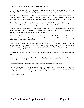This is it. Couldn't get ahold of anyone else on such short notice.

That's kinda a shame. I'd really like to have a little more punch, but... I suppose this will have to do. I grumbled with a sigh. So, you figure out exactly how you want to run this one, John?

Normally I make the plans, and then Johnny screws them up. However, since I needed time to recuperate from all the drek I went through, and Johnny was at least familiar with the layout of the first floor, I let him do the planning for once. Plus, it annoyed him to no end to be put in charge.

Yeah. Johnny said with a grin. Basically, we break in and find what we want. We do it quietly as possible, and if the drek hits the fan, we open up hard and blow the roof off the place."

I sighed, but didn't argue. I was still far too tired to even think about convincing him to plan a little better. 'Besides,' I thought, more than a little anger welling inside him again. 'I owe these jokers and would LO E to blow the wretched place to kingdom come.'

Ok Johnny. We need to dip into the stores and get these guys outfitted. We need to go in heavy. I sighed. I hate to do things this way, but there's no other way. And I need to get inside the building if I'm gonna be able to hack their system.

Johnny nodded, Yeah, there ain't no sneaking into this one. After they find you gone, they'll be waiting for us to come back anyways. I figure we'll need to get you inside, probably into the lower levels of the place. That way you can get into any isolated system they might have. Angel here will cover you while you do the decking.

Then me and Sally will locate the prototype, and then we bail. Anything that gets in our way, we drop.

Sounds good, I said, surprised that Johnny had thought ahead that far, or that he even knew what an isolated system was. But...?

Johnny 99 chuckled. And you thought I didn't pay attention when you talk to me.

I laughed lightly, especially at the bewildered looks we got from Sally. Angel, of course, looked on stoically. I stood up, and we led the way out, and we headed over to a warehouse to suit up. Dread balled up in my stomach for the upteenth time since this damned mission started.

TO BE CONTINUED...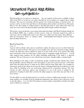# Unconventional Physical Adept Abilities Gurth <gurth@xs4all.nl>

Physical adepts are too narrow as characters — the vast majority of the powers available to them, either from FASA or on the net, are either intended for use in combat or to support those combat functions. This may be in keeping with the general view of physical adepts as martial artists, ki warriors, and so on, but it does put them at a disadvantage when combat is not the focus of the game. Players view these adepts as combat monsters, and thus play them as such, while in fact there are many more areas where the physical adept's particular kind of magic could be developed.

This article, conceived during a conversation about physical adepts with Mark Steedman (thanks for the feedback BTW), has a number of those powers. Some are obviously inspired by spells or cyberware, but I've deliberately tried to give them just a little twist that makes them different that's not synonymous better or cheaper, mind — and hopefully interesting for current or future physical adept characters.

#### Blend In/Stand Out

Cost: .75

A power with two distinct sides, that are nonetheless similar, the adept can use it to either blend into a crowd, or stand out from it. The power is not normally active, but once activated (costing a Simple Action), the adept may choose whether he wants to be part of the crowd, or be noticed. The adept must concentrate on the use of the power, which counts as sustaining a spell, and incurs a  $\sim$  2 to all other magical target numbers for the adept (including spellcasting, if the adept is a physical magician). The use of the power is not evident from astral space, though, unlike a sustained spell.

When blending in, the adept is easily overlooked by people searching for him (whether they search him specifically, someone fitting his or her description, or just want a generic person) on the other hand, when the adept chooses to stand out, he will be noticed sooner than others. For example, by choosing to stand out the adept can increase his chances of being picked from the audience in a quiz show, while by blending in he can avoid being volunteered for a hazardous mission. The exact reaction of other characters (player and non-player) to use of the power is judged by the gamemaster, keeping in mind other activities the adept engages in, since these may give him or her away anyway.

For this ability to work, the adept must be in a crowd, or at least a small group of people. No tests or target numbers are normally involved, though the gamemaster may choose to give characters trying to spot the adept a  $-2$  or -2 to their Perception test target numbers, depending on whether the adept wants to blend in or stand out.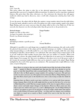#### Mask

Cost: .5 per die

This power allows the adept to alter his or her physical appearance, from minor changes to appearing like a person of a completely different metatype. It cannot be used to reproduce unnatural features, like green hair, blue skin, cyberware, etc. Any cyberware the character has will appear unaltered, which may lead to discovery, since a troll with a human-size cyberleg does look a bit strange.

To use the power, the adept rolls the Mask dice against a target number taken from the table below. To spot the mask, onlookers need to roll a Perception test with a target number equal to the adept's Magic Rating, and score more successes than the adept rolled on his or her Mask test. If this test succeeds, the character sees the real adept rather than the person he or she pretends to be.

| <b>Desired changes</b>                  | <b>Target Number</b> |
|-----------------------------------------|----------------------|
| Simple (e.g. hair or skin color)        | 4                    |
| Average (e.g. gender, close metatype)   |                      |
| Drastic (e.g. distant metatype)         | 10                   |
| <b>Modifiers</b>                        |                      |
| Attempting to imitate a specific person | 4                    |
| Wounds                                  | Normal Modifiers     |

Although it is possible to try and change into a completely different metatype, this only works well if the physical characteristics of the adept and the intended metatype are similar. A human physical adept masquerading as a troll will usually be a very short troll, for example, while this same adept attempting to look like a dwarf will be a very tall dwarf. The same adept trying to impersonate an elf or an ork would have little trouble, because their body sizes are similar to a human's. When such differences are a factor, the adept should roll his or her Mask dice in an open test (see Shadowbeat, under Impact Test on page 10) this test is in addition to the above test to see if the power works at all. Assume the maximum height difference that can be attained is equal to the adept's Magic Rating multiplied by the result of the open test, in centimeters. The maximum body weight difference is the same, except in kilograms.

Hairy Harry is trying to chat up a girl, who frankly doesn't like the looks of him all that much — mainly it's Harry's trademark hair that puts her off. So he decides to use his power to look like himself but with a normal hairdo. This is a simple change, so Harry rolls his 3 dice in Mask against a target number of 4, getting 2 successes. The girl now needs 3 or more successes on a Perception (6) test (because Harry's Magic Rating is 6) to spot that Harry hasn't gone to the hairdressers, but is only trying to make her think he did.

Sometime later on, Harry needs to get into a troll bar to try and get info from someone; being a human, Harry feels the trolls might kick his ass just for the fun of it, so he tries to Mask himself as a troll. This has a target number of 10, since it requires Harry to grow about a meter and make major changes to his features. However, Harry must now also roll an open test, which comes up as 2, 5, and 7. Multiplying the 7 by his Magic Rating of 6, Harry can appear to grow 42 cm and put on 42 kg of weight, which makes him appear to be a troll of about 2.25 meters and 125 kg. ery short and very skinny, not to mention very likely to stand out as much as Harry would if he went to the bar the way he normally looks.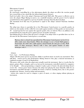Pheromone Control

Cost: .5 per level

By consciously controlling his or her pheromone glands, the adept can affect the reaction people have toward him or her, much like the tailored pheromones bioware.

Each level adds 1 die to the adept's Charisma and Social Skill rolls. This power is effective out to twice the adept's Magic Rating in meters, in a windstill situation, and the power's level is halved (rounded down) when applied to a person of another metatype than the physical adept.

The maximum level that may be purchased is equal to the adept's natural Charisma Attribute Rating.

The adept may choose to specialize his or her Pheromone Control power to a specific gender, in which case the number of dice rolled for tests made against members of that gender are increased by 50% (round up) but for tests against the opposite gender, they are halved. This is in addition to the normal halving for using the power against persons of another metatype.

Specializing must be chosen when the power is bought; if an adept wants to specialize later on, he or she must be the Pheromone Control power a second time.

Marissa, who is a dwarf, has specialized her Pheromone Control power (at level 4) to affect males more than females. When she attempts to use a Social Skill against a dwarf male, she rolls 6 dice, while against a dwarf female she only gets a 2 dice. With males of other metatypes, Marissa rolls 3 dice, and against females of other metatypes, only 1.

irtuoso

Cost: .5 per 1 to Performance Rating

Adepts with this power possess an uncanny ability to perform music on nearly any instrument. They add their irtuoso level to the Performance Rating whenever they play a musical instrument, as explained on pages 12 and 13 of Shadowbeat.

This power only works when the adept must actually touch the instrument that is, it works fine for pianos, guitars, flutes, triangles, and so on, but not for instruments controlled entirely by computers or by thought — when programming a computer to play a piece of music, the physical adept doesn't receive the irtuoso power bonus (because the adept isn't playing the music himself), while for an instrument controlled through a synthlink the bonus is halved, rounding down, due to the greater metaphysical distance between adept and instrument.

irtuoso also cannot be used to compose a piece of music, or when singing without playing an instrument.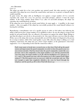oice Alteration

Cost: 1.5

The adept can make his or her voice produce any natural sound; this takes practice to get right especially if the adept has never heard the sound before and must try to picture to himself what it would sound like.

In game terms, the adept rolls an Intelligence test against a target number of 8 to correctly reproduce the sound. For every two previous successful attempts, subtract 1 from the target number if the target number drops below  $0$  (i.e. after 16 successful attempts), the adept can reproduce the sound flawlessly in future.

If the adept has never heard the actual sound before, he must apply a +6 modifier to the target number -- this even applies if the adept has successfully produced the sound himself without ever hearing the real thing.

Reproducing a (meta)human voice of a specific person in order to fool others into believing the adept is that person has a target number of 14, modified as above. In case the adept is trying to fool people for personal benefit, they are allowed a Perception test against the adept's Magic Rating to spot that the adept is not who he or she pretends to be; they must roll more successes than the adept. If they can see the adept, this test may automatically succeed if the adept isn't disguised as the person he is trying to imitate, while if the sound quality is poor (like when the adept is talking over a bad telephone connection), the adept may get a lower target number, at the gamemaster's discretion; suggested is -1 to -4, depending on how bad the connection really is.

Paul's team wants to break into a secured area, so they have Paul call up the guard station and impersonate the guard commander, in order to draw the guards away to a non-existent intruder. Paul has heard what the guard commander sounds like on a previous visit to the compound, so his target number is 12, and has practiced the voice four times: his target number is 10. He rolls his Intelligence of 5, and gets 3, 4, 4, 5, and 11. The guards now may roll a Perception test (3 dice) against Paul's Magic rating of 7. The first guard scores no successes, while the second gets only one. That isn't enough to make him completely disbelieve the voice he heard through the telephone, and the guards go off to where Paul tells them to go.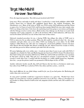# Target: Mike Mulvihill Interviewer: Steve Ratkovich

*First, the important question. How did you get involved with FASA?*

Long story, I'll try and make it quick and short. I worked for a comic book publisher called NOW Comics, based here in Chicago (We published Speed Racer, the original Terminator, The Ghostbusters, etc.). Many of the artist at NOW were FASA artists, Jeff Laubenstein and Jim Nelson to name a few. So I knew of early FASA stuff from them (mainly BattleTech since that's mainly what FASA was doing at that time). I also knew the marketing team from going to conventions and hanging with the Chicago crowd at various shows, (Back in those days Chicago was the home to 3 comic book companies and 3 game companies, as well as the freelancer HQ to both industries). Jill Lucas the current President (of FASA) was one of those that I met at those shows.

Sidetrack (standard procedure for me...:) during NOWs big collapse the editor of NOW went to FASA to interview for an editor position. What she did would be considered what I do - she was a continuity and plot editor, not a text editor. FASA was looking for a text editor. So the NOW employee called Sharon (my wife) who was working for a local book publisher, because she knew what Sharon did and thought that Sharon would like the job...Sharon faxed her resume to FASA, met with that person for dinner and had a job with FASA the next day.

Of course lightning only every strikes once - it took me more than 2 years to get a job with FASA. I originally was a finalist for Sales and Marketing job, but Sam Lewis (FASA's former President) knew that I had writing and convention skill from my NOW days and he held out until there was a position he felt better suited my skills. That job was a development assistant. I started that Dec. 14 1992 (exactly 2 weeks after Lou) I worked with the developers as a utility infield (grunt boy, dogsbody, slave boy - you get the picture) until I was promoted to SR developer in Oct. of 1995.

Another sidetrack: besides myself, Jim, Jeff and Sharon (the last three as freelancers mind you), four others from NOW have worked at FASA. One editor and three artists... weird eh.

*How much different do you think things would be for you if you had gotten the Marketing job rather than your current one?*

At some point I probably would have requested to freelance on a game line. Would I have been happy? At some point my creativity would have forced it's way to the fore - either as a Freelancer on our product or doing a bunch of stuff on the web, magazine articles and the such. Life would be very different.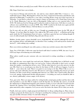*Tell us a little about yourself, if you would. Where do you live, how old you are, that sort of thing.*

OK, I hope I don't bore you to death....

I was born in Chicago and raised in the city and in a near suburb called Niles. I went to a very small mid-western college, Morningside in Sioux City Iowa. I majored in Literature and Theater and minored in Philosophy. I worked for a year with a traveling theater troop out of the University of Nebraska. I went back to school to get a master's degree in Literature at St. Cloud State University in St. Cloud, Minnesota. I met my wife at Morningside College and we were married after I left SCSU. We both now lived in Chicago and I worked in retail at a book store, I left there to work at a software store and left there to work at NOW. After NOW I worked at the book store again and left there to work at a Public Library. I left the library to work at FASA.

I'm 34 years old, one wife, no kids, two cats. I bought my grandparents house (in the NW side of Chicago - if you have Bug City handy, I live right at the NW corner of the  $C$  at Harlem and Irving park, inside the CZ (Containment Zone) of course...) and have spent the last year looking though 50 years of collected junk (but I did find a flag with only 48 stars on it!)

Hobbies, besides games...sports (baseball, soccer, basketball  $\#1$ ,  $\#2$  and  $\#3$ , although I'll watch or play anything), history and philosophy (so therefore I love reading), sci-fi and mysteries (books and movies/ $T$ ) and cooking (yep, cooking)

#### *Have you written anything for any other games, or done any work for anyone other than FASA?*

Nope, I'm a FASA lifer. I did write some fan based stuff when I worked at NOW, but once I was at FASA any hopes of freelancing were left behind.

#### *What advice would you give someone who was interested in writing something or working for FASA?*

First, and this may seem stupid, but read and write. Without a knowledge base to fall back on and the ability to communicate those ideas you can't go far. I always tell people to don't worry so much about the number crunching but tell me a story. Tell me what interests you in the universe (in this case SR). Don't try to second guess my ideas for the future of SR...it will never happen. I need to think 2 years down the road. There's no point in you trying to do that. What I like to see is a person with good solid ideas based in the SR universe and using something that doesn't get much attention. In other words tell me something that interests you. That's why I stated earlier that there is no real gaming background (besides playing games) - everything you read you should be able to use...history, philosophy, science, magic, sci-fi, mystery.

Next...just write. There are many outlets for writing besides actual game product and face facts with only 8 products a year (for SR) it's tough to crack the big time. Use all other the sources...I read all the submissions to Shadowland magazine and comment on them. I receive all of the Scrawls from the Sprawls the Amateur Press Association Shadowrun product. I check out web pages. I read other game material by other companies. So if you are active the better the chance I'll see what you can do.

Finally, don't just send in a single proposal and think that's it. Keep sending things in. Many times in reading a proposal, the theme may be so foreign to anything I'm working on at any given time that I may just not like it because of that. So send other things in.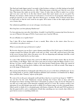The final and single biggest point I can make is that freelance writing is a lot like batting in baseball. The greet hitters are those that hit over .300. What that means is that they get 3 hits for every 10 at bats. That means they make an out the other 7 times. It takes time an effort to make it as a writer and even once your foot is in the door doesn't meant that reject means you are no good. For Missions, for instance, which consists of 4 adventures, I received over 21 proposals, which means 17 people get rejected, so even "names" like Steve Kenson get a "no thanks" letter. It doesn't mean Steve is a bad writer or that he won't work for me again. All it means is that on this single project there were 4 better ideas.

Our submission guidelines are on our web page. (www.fasa.com)

#### *How long have you been playing Shadowrun?*

I've been playing since just after 2nd edition. Actually I read 2nd Ed, in manuscript form (because it was one of Sharon's first gigs at FASA). I am in most cases I am the GM now.

#### *Do you still play on a regular basis?*

Yep, I play SR at least minimum of once a month. More often in the winter when I'm not a convention or my players aren't.

#### *What is your favorite type of character to play?*

My favorite character was my first, a gator shaman named Bayou Earl. Earl came to Seattle from the swamps around New Orleans. He spoke creole and very little street talk and lived most of his time in the sewers because that's where the gators were. He was disgusting and unkempt, look like a total anachronism in Seattle but he was fun to play.

As a class I like shamans because they need to be different based on their totems. But my favorite class I believe is the Rigger. That's why I have gone nuts in trying to make the Rigger 2 book so overthe-top. As I have stated, nothing is cooler to me than having a bunch drones under the control of one guy, all flying or moving down a hallway with some humans on a full out assault. That image to me is the image of Shadowrun!

*How much of the Hardcore Cyberpunk (ala Gibson) do you see as the basis of Shadowrun? Is it a core background, or merely a light backdrop splashed (and sometimes overshadowed) by Magic, Elves, and the other "Fantasy" aspects of the game.*

We seem to live in the post cyberpunk world and those that love it won't let me forget it. \*GRIN\* I was not here for the early Shadowrun concept meetings but I know what we have and what developed out of those meeting. FASA knew Cyberpunk was going to come out (by R. Talsorian) so our take was to take many of the futuristic trappings and give it a twist. We created a world, a new mini-genre if you will, though some prefer to think of it as fantasy game set in the cyberpunk future. Others prefer to think of it a cyberpunk game with fantasy elements. My job (and FASA position) is that the game/world is such a combination of both that something new was created...that reflects it's parts but in essence is something wholly new.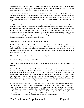*Going along with that, how dark and gritty do you view the Shadowrun world? I know every player has their own opinion of the Shadowrun world, and what Shadowrunners are. Do you view them as the "good guys", the "Bad guys", or something in between?*

Geez, that's a tough one on many levels. In my opinion I think that the world of Shadowrun is actually much more noir than cyberpunk. ery, very individual, very much your own man and it's me against them (in SR's case it's Corps...but it could easily be corruption or even "evil" or "good"). Can this make them anti-heroic, yes of course it can. Good Guys? Yep. Bad Guys? Just as easily.

I tend to look on the Shadowrunners as necessary, something that was discovered to be needed and then allowed to continue. At some point in the SR world's history what was created took on a life of it's own and here is where players/GMs I think miss the biggest point - they are autonomous. They have a life of their own. It makes for a more vibrant world if everything from corp. espionage by government agents to gang fights are actually in the realm of shadowrunning. My feeling is that shadowrunning has grown to mean anything. The corps. created something and that thing has spawned to haunt them because they no longer control it. They need to use it like everyone else but they can't determine the results like they could before.

#### *Do you GM SR? If so, do you prefer being a GM or a Player?*

Well I'm used to being the GM (I do like the control - hee hee!). Actually, I like being a GM because it's great to play director and offer up the beginning of the story so that I can watch the story unfold when it get into the players hands. Of course, being a player is much easier to do but it allows you to explore different personalities and themes you normally never would do. Being a player is much more escapism than GM.

#### *What exactly are your duties as Shadowrun Line Developer*?

Boy you are asking all of tough ones aren't you...

[Editors note: Well, we could have asked a few questions about your cats, but this isn't a pet magazine.. :) ]

Any Line Developer at FASA is the final decision maker for the game universe they are in charge of. Think of Line Developer as Producer/Director of a movie. I'm in charge of everything from the ideas to approving anything that has the SR logo on it. Think of the writers and actors... it's my job to line the writers up provide them with a skeleton of idea and they perform (write), if I do my work (preconcepts, product focus, universe continuity etc.) then have an easier time doing theirs. More I allow them to be creative and to know what I need and want the better they can perform. In many ways you can't see my hand in a product and yet without me the product doesn't exist.

Besides the esoteric level that I described above. I must read and develop (which means continuity/rules edit) every product produced by FASA for my line including novels. I am the SR spokesperson which means I do any and all PR for SR including conventions, answering  $\mathcal{S}$  is on-line, on the phone etc. I approve anything that gets the SR logo on it... which includes everything from reading Shadowland submissions to deciding what we will give away at GenCon. Finally, I also get approval/development on anything created for SR but not strictly by me. The card game for instance and the upcoming SR Computer game are two of the most recent examples.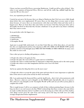*I know you have several Pet Peeves concerning Shadowrun. Could you tell us a few of them? Also, what is your opinion of Immortal Elves, Horrors, and all the really big, oddball stuff that has crept into SR over the years?*

Geez...my reputation precedes me!

I started my pet peeve list because there are thing in Shadowrun that I feel were never fully though about before they were implemented. Of course those are the things that everyone wants to know about because, of course there are inconsistencies with what went before them and what needs to happen next. Most are from those that came before me because I feel they had great ideas and so thoroughly mis-fired on them that they became a hindrance to my job and to any future continuity that I may want to create.

In no particular order the biggest are...

- 1. ED/SR links
- 2. Immortal Elves
- 3. Spell Locks
- 4. Incomplete World

Again just so people fully understand.. it's not that I don't like any of the ideas above...it's just that how they are implemented and how they function in MY UNI ERSE AS OF RIGHT NOW and the problems and lack of forethought mean THEY DO NOT WORK AS THEY SHOULD. In many cases they make no sense at all.

I have other pet peeves dealing with gaming as a whole...

1. People who refuse to let games be fun.

- 2. People who place the real world over a game universe to find flaws
- 3. People who refuse to understand that it's important to adapt their playing style to the entire group
- 4. People who refuse to use their imagination and force me to use it for them
- 5. Bigots

And in my opinion the thing that drives me the most crazy!

1. People who refuse to accept the spirit of the game and insist that it's more important to exploit the holes of the universe and system strictly for their own benefit.

*OK, I can understand the Immortal Elves and the Spell Locks... there's lot's of inconsistencies with those. However, what are you're thought's on the SR/ED Links (Specifically, why is it a peeve.) Also, what are your thoughts on the "Incomplete World" of SR, and can you tell us of any plans to complete the world?*

This is tough because I will try an comment on both of these without pointing fingers because in the long run there is no real reason to do that. While I acknowledge that those creators who came before me made excellent decisions (heck, I wouldn't even be discussing any of this with you if they hadn't), some things weren't given the same focus and energy and in the long run both were not really strongly though about before implemented.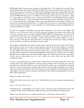ED/SR links suffer from the same problems as Immortal Elves. Poor design and execution. They created ED and then after the fact added the SR links. ED was not created from the outset to be Pre-SR, if it had my guess it would be very different. By making the links they assumed that ED would benefit from SR what never occurred was that SR would suffer simply from the from the fact that it comes AFTER! ED being sooooo very different in how magic works, game tone, characters, world, etc. - these thing are now left up to me to alter my game to fit, because ED did it first in a magical cycle. What I inherited is a series of questions of why and when my game will change to fit the events as everyone already knows will happen. That was irresponsible of the creators that went before me because they thought, like immortal elves, it would be fun to do but never really figured out how it works, leaving me to back figure events, manipulate my world and game to match something that was not there when SR was created.

The lack of a complete world bothers me more than anything else. To set the record straight. The world was never fleshed out. Only the North American Continent. Everything written about the world was created as need on the spot. I REALLY HATE THAT!!!!!! That means every time I need to expand the world I have to go through all kind of products looking for the one reference here to India... one reference there for Amazonia... another reference here to Japan. While very cool, it leaves the player with the sense that all of that was already done and all we are doing is waiting to put the next place out. That can't be further from the truth!

The problem with fleshing the world out at this point is that doing the entire world is like doing a project that never gets seen. It takes the full amount of time by me and the freelancers to produce the world. Plus doing it in a sit down and lets flesh it fashion out means that stuff begins to feel the same. While I have ideas about the world and what's where - writing it all down and then making sure that input from players our international publishers, freelancers, etc. make the areas exciting to Shadowrun in is another major time block. Finally at that time would I release the info to the public. So they only way that makes sense if or me to flesh out areas as they come up (like in the Cyberpirates book).

It's just very frustrating because in both of the examples above I feel that by doing the work at the creation of the game world would have resolved so many problems that I encounter now. Instead I am locked into continuity I did not create and I'm forced to make sense out of bunches of factoids that may or may not be based on anything other than the writer thought it might be cool to add. It makes my job that much harder and by not taking care of the sloppiness at the beginning I am held responsible to the fans and must constantly patch holes in the mixing and matching those who went before didn't think about.

#### *What do you like to do to relax?*

Read comic books, watch sports, play soccer and baseball, watch movies, gaming, gaming, gaming, gaming

#### *What was the last good movie you saw?*

5th Element! See it immediately if you haven't seen it. American action with European style. Par excellence. Realize that Face/Off opens tonight and that may push 5th Element off the top spot.

[Editors note: This interview was conducted in late June, so this bit is a tad out of date..]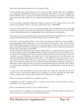#### *What other Role Playing Games, if any, do you play or GM?*

I do try and play games still (yeah time seems to escape me lately) - Besides SR. I play a Earthdawn on a regular basis and BattleTech when we get a game going. Other RPG's I enjoy are Feng Shui and Call of Cthulhu. I have a weak spot for DC Heroes but haven't played it in a while. I usually read more games than I play. Right now I'm reading both Deadlands and The Legends of the Five Rings RPG.

As for card games...Shadowfist, BattleTech, Mythos, Legend of the Five Rings and of course the Shadowrun Card game...We have color demo cards just in today - AWESOME!

I also have been going back to my roots playing board/war games including the great Avalon Hill collection. If you have never played the board game Civilization...do so if you can. Others include Axis and Allies, Britannia, Dune, and beginning to learn Squad Leader and Supremacy.

#### *I know there are some mixed feeling about the upcoming SR CCG among the SR Gamers. Tell us a little about the Card Game, if you would, and how close to the RPG it will be*.

Yeah, this is a bit of a problem. There is a lot of anti-card game hype right now - it seems mainly to be focused against WOTC, which may or may not be deserved. Our game is 100% done by FASA. Myself, Mike Nielson and Jim Nelson are the creators/designers of the game. This game feels and plays so much like the RPG that I think fans of SR will be amazed. In fact a Shadowrun undertaken the CCG feels exactly like one in the RPG.

For those who haven't played the game or know nothing about it... you play runner gear and contacts out of you hand as well as cards called Challenges (which are played face down on an Objective (i.e. the objective of a Shadowrun and where you get you Reputation Points to win the game!). You don't encounter your own Challenges (you played them so you know what they are) but rather you encounter the Challenges played by the other player - so like the RPG your team of runners is never sure exactly what you will encounter at any given time on a Shadowrun. The game is super easy to learn. You can pick it up after two turns around the table and equally fun playing a two player or multi-player (funny thing that those two phrases which should mean the same thing, don't). There are cards that fans of Shadowrun will understand perfectly and shadowrunners from the fiction of the game.

I realize CCG world make RPGers nervous and I agree, but I think they will enjoy the SR CCG because it feels so much like the RPG and can actually give you hints and plots for future RPG setting... honestly, this is not hype but a pleasant effect of the game as we designed it.

#### *What is one thing you would like to accomplish some day?*

I would like to visit all 7 continents (well, 6...) and write a novel. I have visited 3 continents and have read many novels so I'm not there yet.

*What is one thing about you that we never needed to know?*

The only SR rule I can remember is the damage code of is the Ares Predator (9M). Everything else I need to look up. In real life...I prefer being cold to being hot.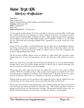### Review: Target: UCAS Adam Jury <fro@lis.ab.ca>

Vital Stats

Title: Target:UCAS Authors: Stephen Kenson, Linda Naughton, and Jonathon Jacobson Publisher: FASA, July 1997 ISBN: 1-55560-314-9 Pages: 104 Suggested Retail Price: \$15 American

I've been eagerly awaiting Target: UCAS since early March, when I got word from Mike at FASA that they would be using one of my nicknames as a decker comment in the book. I'm on pages 16 and 52 with the name Fro and the tagline Leading by Example. Other people from the internet community that got taglines in the book are Bull, Spike, Granite, and CCCampbell. Needless to say, this added five easy sales of the book, and helped solidify FASA's reputation as one of the Good Guys in the RPG business.

Target: UCAS is set up like a standard Shadowrun book, an online post on Shadowland, with users interjecting comments where appropriate. It starts with the State of the Union address, with has been available on FASA's web page for awhile now. Then it moves to The Scott Commission, the group investigating Dunkelzahn's death.

The first location profiled is Boston, and in my opinion, it s rather bland. The catacombs, a giant underground maze of rooms and passageways, was the only thing that really grabbed my interest here.

Detroit was much better, especially with the background information on Ares and Damien Knight. Actually, there's more Ares and Mr. Knight than there is Detroit, but it s still an interesting read, and can certainly be worked into an existing campaign.

Chicago has been under siege from the bugs for awhile, does it deserve more space in official products? Well when something as big as what s going on there happens, it certainly does! If you're currently playing a campaign set in Chicago, don't read this book, it will spoil your fun. As a matter of fact, I consider the entire book to be a Gamemaster only book, no peeking for the players.

Without giving too much away for any players still reading this, I'll say that the method used to get rid of the bugs was interesting, and has some great possible side affects and plot hooks.

The last part of the book has Game Information, rules for playing ghouls, plot ideas for each of the cities presented, and information about the individual cities. This includes population, details on getting in and out of the city, and local prices for goods. My main beef with this section is the 'See Bug City for this information' line, since I don't own Bug City, but that s a minor quibble.